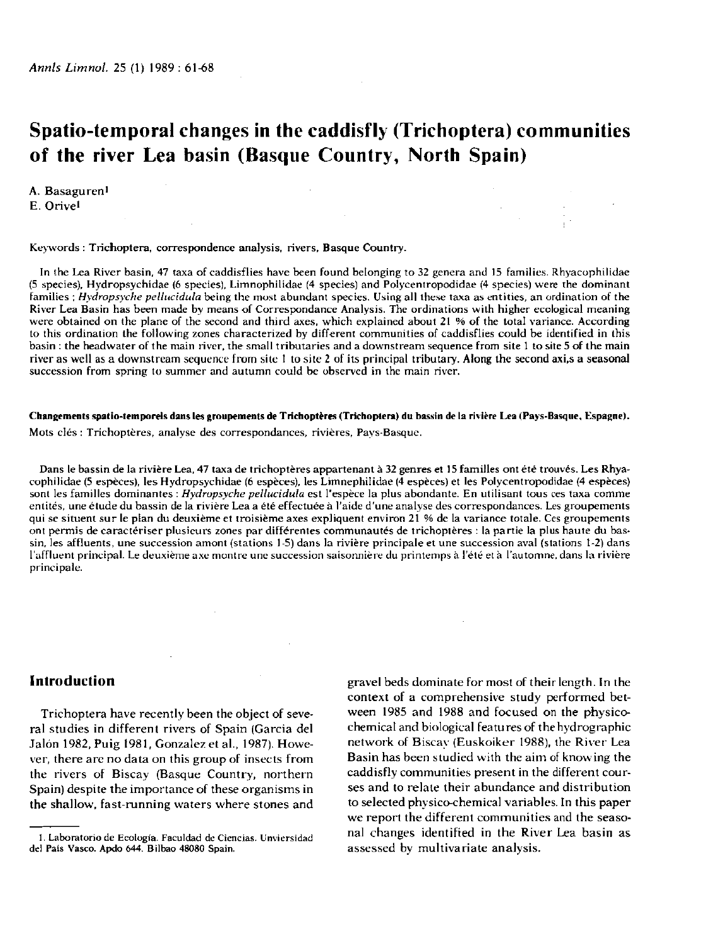## **Spatio-temporal changes in the caddisfly (Trichoptera) communities of the river Lea basin (Basque Country, North Spain)**

A. Basaguren<sup>1</sup> E. Orivel

#### Keywords : Trichoptera, correspondence analysis, rivers, Basque Country.

In the Lea River basin, 47 taxa of caddisflies have been found belonging to 32 genera and 15 families. Rhyacophilidae (5 species), Hydropsychidae (6 species), Limnophilidae (4 species) and Polycentropodidae (4 species) were the dominant families ; *Hydropsyche pellucidula* being the most abundant species. Using all these taxa as entities, an ordination of the River Lea Basin has been made by means of Correspondance Analysis. The ordinations with higher ecological meaning were obtained on the plane of the second and third axes, which explained about 21 % of the total variance. According to this ordination the following zones characterized by different communities of caddisflies could be identified in this basin : the headwater of the main river, the small tributaries and a downstream sequence from site 1 to site 5 of the main river as well as a downstream sequence from site 1 to site 2 of its principal tributary. Along the second axi.s a seasonal succession from spring to summer and autumn could be observed in the main river.

#### **Changements spatio-temporels dans les groupements de Trichoptères (Trichoptera) du bassin de la rivière Lea (Pays-Basque, Espagne).**

Mots clés : Trichoptères, analyse des correspondances, rivières, Pays-Basque.

Dans le bassin de la rivière Lea, 47 taxa de trichoptères appartenant à 32 genres et 15 familles ont été trouvés. Les Rhyacophilidae (5 espèces), les Hydropsychidae (6 espèces), les Limnephilidae (4 espèces) et les Polycentropodidae (4 espèces) sont les familles dominantes : *Hydropsyche pellucidula* est l'espèce la plus abondante. En utilisant tous ces taxa comme entités, une étude du bassin de la rivière Lea a été effectuée à l'aide d'une analyse des correspondances. Les groupements qui se situent sur le plan du deuxième et troisième axes expliquent environ 21 % de la variance totale. Ces groupements ont permis de caractériser plusieurs zones par différentes communautés de trichoptères : la partie la plus haute du bassin, les affluents, une succession amont (stations 1-5) dans la rivière principale et une succession aval (stations 1-2) dans l'affluent principal. Le deuxième axe montre une succession saisonnière du printemps **à** l'été et **à** l'automne, dans la rivière principale.

## **Introduction**

Trichoptera have recently been the object of several studies in different rivers of Spain (Garcia del Jalón 1982, Puig 1981, Gonzalez et al., 1987). However, there are no data on this group of insects from the rivers of Biscay (Basque Country, northern Spain) despite the importance of these organisms in the shallow, fast-running waters where stones and

gravel beds dominate for most of their length. In the context of a comprehensive study performed between 1985 and 1988 and focused on the physicochemical and biological featu res of the hydrographie network of Biscav (Euskoiker 1988), the River Lea Basin has been studied with the aim of knowing the caddisfly communities present in the different courses and to relate their abundance and distribution to selected physico-chemical variables. In this paper we report the different communities and the seasonal changes identified in the River Lea basin as assessed by multivariate analysis.

**<sup>1.</sup> Laboratorio de Ecologi'a. Faculdad de Ciencias. Unviersidad del Pais Vasco. Apdo 644. Bilbao 48080 Spain.**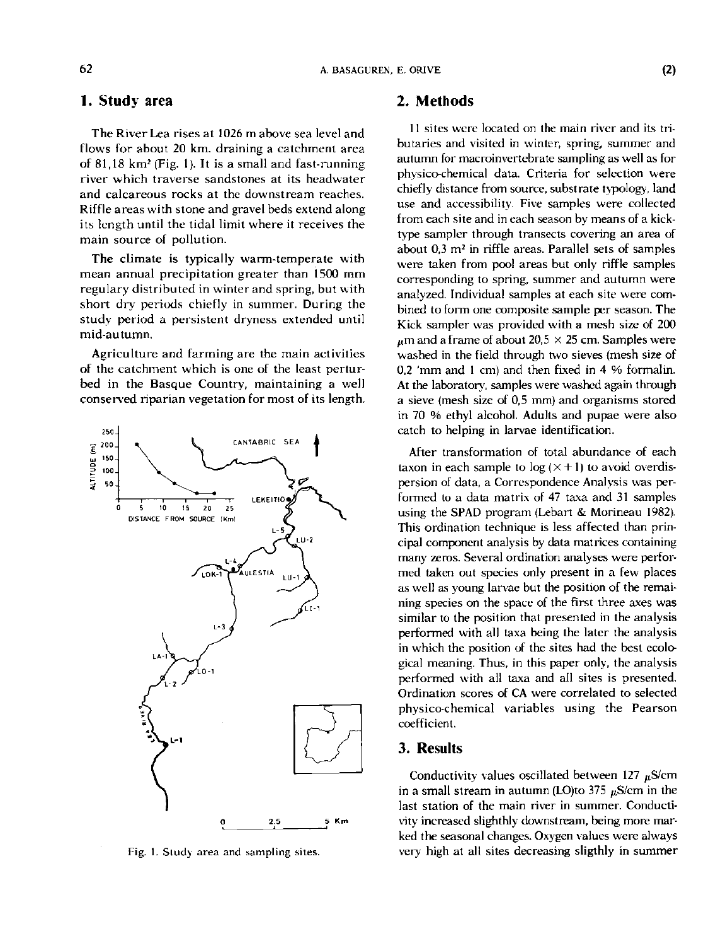# **<sup>1</sup> . Study area**

The River Lea rises at 1026 m above sea level and flows for about 20 km. draining a catchment area of 81,18 km<sup>2</sup> (Fig. 1). It is a small and fast-running river which traverse sandstones at its headwater and calcareous rocks at the downstream reaches. Riffle areas with stone and gravel beds extend along its length until the tidal limit where it receives the main source of pollution.

The climate is typically warm-temperate with mean annual precipitation greater than 1500 mm regulary distributed in winter and spring, but with short dry periods chiefly in summer. During the study period a persistent dryness extended until mid-autumn.

Agriculture and farming are the main activities of the catchment which is one of the least perturbed in the Basque Country, maintaining a well conserved riparian vegetation for most of its length.



Fig. 1. Study area and sampling sites.

### **2. Methods**

11 sites were located on the main river and its tributaries and visited in winter, spring, summer and autumn for macroinvertebrate sampling as well as for phvsico-chemical data. Criteria for selection were chiefly distance from source, substrate typology, land use and accessibility. Five samples were collected from each site and in each season by means of a kicktype sampler through transects covering an area of about 0,3 *m 2* in riffle areas. Parallel sets of samples were taken from pool areas but only riffle samples corresponding to spring, summer and autumn were analyzed. Individual samples at each site were combined to form one composite sample per season. The Kick sampler was provided with a mesh size of 200  $t$ <sub>u</sub>m and a frame of about 20.5  $\times$  25 cm. Samples were washed in the field through two sieves (mesh size of 0,2 'mm and 1 cm) and then fixed in 4 % formalin. At the laboratory, samples were washed again through a sieve (mesh size of 0,5 mm) and organisms stored in 70 *%* ethyl alcohol. Adults and pupae were also catch to helping in larvae identification.

After transformation of total abundance of each taxon in each sample to  $log (X + 1)$  to avoid overdispersion of data, a Correspondence Analysis was performed to a data matrix of 47 taxa and 31 samples using the SPAD program (Lebart & Morineau 1982). This ordination technique is less affected than principal component analysis by data matrices containing many zeros. Several ordination analyses were performed taken out species only present in a few places as well as young larvae but the position of the remaining species on the space of the first three axes was similar to the position that presented in the analysis performed with all taxa being the later the analysis in which the position of the sites had the best ecological meaning. Thus, in this paper only, the analysis performed with all taxa and all sites is presented. Ordination scores of CA were correlated to selected physico-chemical variables using the Pearson coefficient.

## **3. Results**

Conductivity values oscillated between 127  $\mu$ S/cm in a small stream in autumn (LO)to 375  $\mu$ S/cm in the last station of the main river in summer. Conductivity increased slighthly downstream, being more marked the seasonal changes. Oxygen values were always very high at all sites decreasing sligthly in summer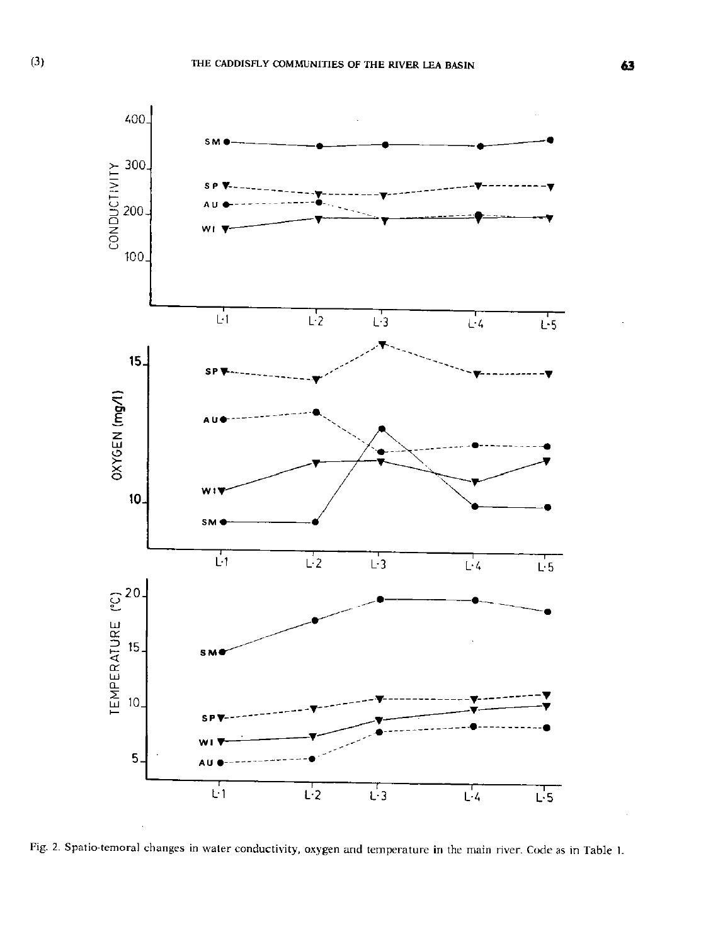



Fig. **2.** Spatio-temora] changes in water conductivity, oxygen and temperature in the main river. Code as in Table **I.**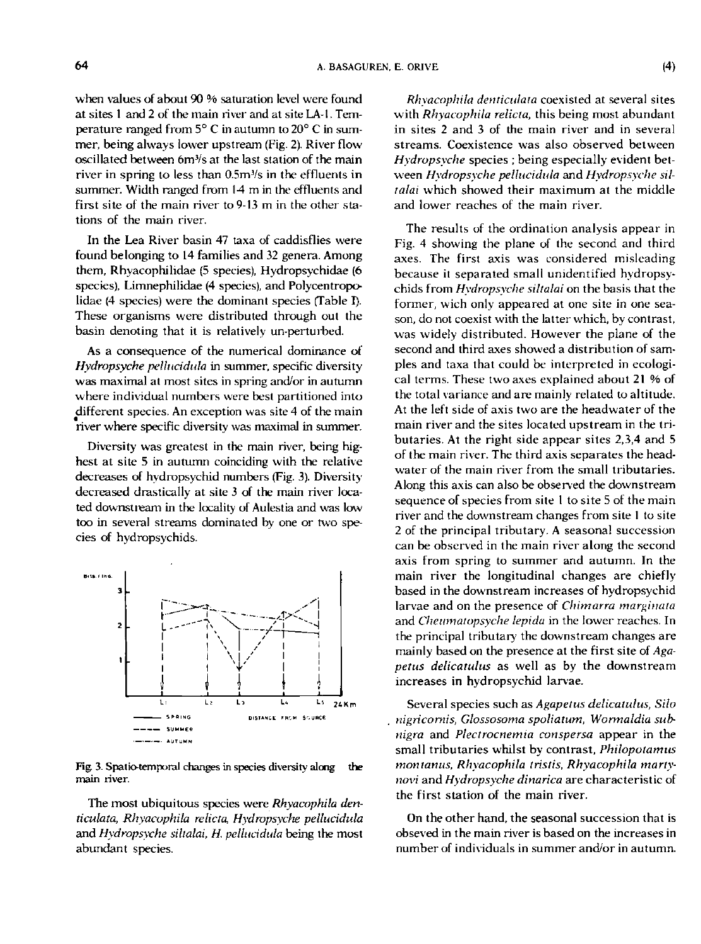when values of about 90 % saturation level were found at sites 1 and 2 of the main river and at site LA-I. Temperature ranged from 5° C in autumn to 20° C in summer, being always lower upstream (Fig. 2). River flow oscillated between 6m<sup>3</sup> /s at the last station of the main river in spring to less than 0.5m% in the effluents in summer. Width ranged from 14 m in the effluents and first site of the main river to 9-13 m in the other stations of the main river.

In the Lea River basin 47 taxa of caddisflies were found belonging to 14 families and 32 genera. Among them, Rhyacophilidae (5 species), Hydropsychidae (6 species), Limnephilidae (4 species), and Polycentropolidae (4 species) were the dominant species (Table I). These organisms were distributed through out the basin denoting that it is relatively un-perturbed.

As a consequence of the numerical dominance of *Hydropsyche pellucidula* in summer, specific diversity was maximal at most sites in spring and/or in autumn where individual numbers were best partitioned into different species. An exception was site 4 of the main river where specific diversity was maximal in summer.

Diversity was greatest in the main river, being highest at site 5 in autumn coinciding with the relative decreases of hydropsychid numbers (Fig. 3). Diversity decreased drastically at site 3 of the main river located downstream in the locality of Aulestia and was low too in several streams dominated by one or two species of hydropsychids.



Fig. 3. Spatio-temporal changes in species diversity along the main river.

The most ubiquitous species were *Rhyacophila denticulata, Rhyacophila relicta, Hydropsyche pellucidula*  and *Hydropsyche siltalai, H. pellucidula* being the most abundant species.

*Rhyacophila denticulata* coexisted at several sites with *Rhyacophila relicta,* this being most abundant in sites 2 and 3 of the main river and in several streams. Coexistence was also observed between *Hydropsyche* species ; being especially evident between *Hydropsyche pellucidula* and *Hydropsyche siltalai* which showed their maximum at the middle and lower reaches of the main river.

The results of the ordination analysis appear in Fig. 4 showing the plane of the second and third axes. The first axis was considered misleading because it separated small unidentified hydropsychids from *Hydropsyche siltalai* on the basis that the former, wich only appeared at one site in one season, do not coexist with the latter which, by contrast, was widely distributed. However the plane of the second and third axes showed a distribution of samples and taxa that could be interpreted in ecological terms. These two axes explained about 21 % of the total variance and are mainly related to altitude. At the left side of axis two are the headwater of the main river and the sites located upstream in the tributaries. At the right side appear sites 2,3,4 and 5 of the main river. The third axis separates the headwater of the main river from the small tributaries. Along this axis can also be observed the downstream sequence of species from site 1 to site 5 of the main river and the downstream changes from site 1 to site 2 of the principal tributary. A seasonal succession can be observed in the main river along the second axis from spring to summer and autumn. In the main river the longitudinal changes are chiefly based in the downstream increases of hydropsychid larvae and on the presence of *Chimarra marginata* larvae and on the presence of *Chimarra marginata* and *Cheumatopsyche lepida* in the lower reaches. In the principal tributary the downstream changes are the principal tributary the downstream changes are mainly based on the presence at the first site of *Aga*petus delicatulus as well as by the downstream<br>increases in hydropsychid larvae.

Several species such as *Agapetus delicatulus, Silo nigricornis, Glossosoma spoliatum, Wormaldia subnigra* and *Plectrocnemia conspersa* appear in the small tributaries whilst by contrast, *Philopoiamus montanus, Rhyacophila tristis, Rhyacophila martynovi* and *Hydropsyche dinarica* are characteristic of the first station of the main river.

On the other hand, the seasonal succession that is obseved in the main river is based on the increases in number of individuals in summer and/or in autumn.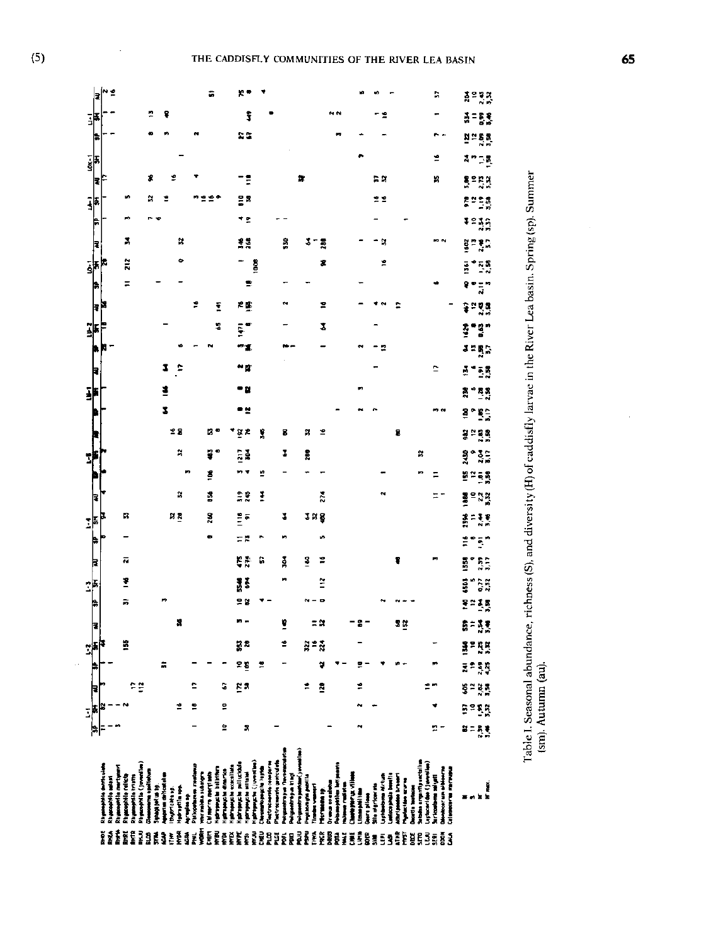| ¦,'°<br>a<br>ត្តូន និង<br>ដឹង<br>î<br>종 그 동 목<br>事<br>2S<br><u>ង = នន</u><br>ħ<br>訃<br>ž<br>20 LB<br>ź<br>2<br>-!<br>នា<br>'n,<br>្រុះ<br>ក្នុង<br>I₹<br>문요<br>"≏<br>22<br>្គុំមន្ត្រី<br>ls.<br>۰,<br>រះរួត<br>P<br>2<br>×<br>美菜<br>ã<br>3-<br>×<br>ង្គ <i>ំង</i> ្គិ<br>ã<br>₹<br>z<br>g<br>z<br>2<br>K<br>គ្នា កុង្កា<br>非<br>$\equiv$<br>÷<br>$\frac{1}{2}$<br>ş<br>à,<br>2<br>h.<br>严重<br>2<br>ī<br>ទ្ធមន<br>₹<br>ă,<br>ĭ<br>•g.,<br>Ę<br>ī<br>ŝ<br>រះខ្លុ<br>2<br>3<br>Ξ<br>c<br>$\frac{1}{2}$ = $\frac{1}{2}$<br>볼<br><b>គ្គី គឺ</b> គឺ<br>۰.<br>z<br>- 2<br>ខ្លះ្<br>m o<br>28<br>¥<br>£<br>호혼<br>P,<br>в<br>8<br>좋으므유<br>я<br>N<br>ş<br>ã<br>å<br>a.<br>Bost<br>3<br>×<br>m<br>٠<br>ń<br>ŝ<br>9≃ = 8<br>Ξ<br>X<br>š<br>28<br>I<br>274<br>폴므었었<br>Ξ.<br>h<br>R<br>¦.<br>иR<br>ă<br>2<br>3 R Ş<br>a<br>Rođeni<br>F<br>ΞŘ<br>ø<br>$\tilde{\mathbb{R}}^n$<br>Ĕ<br>۰<br>E.<br>3<br>$\frac{3}{2}$ .<br>G<br>z<br>5<br>죠<br>ğ<br>F<br>I.<br>ã<br>issi<br>ិទ្ធិ<br>1<br>sβ<br>모양<br>문제로복<br>h<br>ã<br>8<br>¥<br>= ¤<br>5=33<br>32<br>E<br>÷<br>ë<br>로치<br>ដ្ឋក្នុ<br>물부족복<br>25<br>≝<br>¥<br>포르흑흑<br>።<br>수설<br>ċ<br>G<br>g a<br>ż<br>2<br>ខ្លួងខ្លួ<br>F<br>៓<br>1<br>2<br>ត្តិទន្តិ<br>g<br>비<br>R<br>2-<br>ង = ក្ដុង្<br>Washington Terresorte<br>wi goodtre pathias ( ) sweet in<br>tertrocaumic grateulate<br>inclusionario comporti<br>physical Linux Circums<br>spheart day ( ) services)<br>pasphila (jeveniles)<br>propose to pollucidal<br>parapidik denticulat<br><b>Ingegentlie mertynevt</b><br>phropeup: he concellate<br><b>tomptive</b> let port<br>proposite in intern<br><b>More of Scientishers</b><br>holms are professed in<br>ontooir un oitierra<br>Alessante anteces<br>properties directes<br>more spointing<br><b>Microsome restar</b><br>photographs attacks<br>the maid a substep<br>properties collects<br><b>William Charles Re</b><br>Many ra any film<br>cetus de hostal<br>vy konyte partile<br>anicos pinais basella<br>mophilis adulti<br>properties to sette<br>undergram Airline<br>that passes have a<br>antarparty: village<br>irleadams ail grit<br>what has any to<br>was on a sign<br>Janet reduce<br>lle nigritaerste<br>ĕ<br>The company<br><b>BE BE AN WHAT</b><br>sortile between<br>hutrichtus.<br>Propriese<br>magaillíte<br>M<br><b>TO MAIN 19</b><br>ara pilan<br><b>The Second</b><br>× |  | JF |  | $\frac{1}{2}$ |  |  | Ï |  | Ï |  | ī |  | 3 |  |  | ī |  |  |  |
|---------------------------------------------------------------------------------------------------------------------------------------------------------------------------------------------------------------------------------------------------------------------------------------------------------------------------------------------------------------------------------------------------------------------------------------------------------------------------------------------------------------------------------------------------------------------------------------------------------------------------------------------------------------------------------------------------------------------------------------------------------------------------------------------------------------------------------------------------------------------------------------------------------------------------------------------------------------------------------------------------------------------------------------------------------------------------------------------------------------------------------------------------------------------------------------------------------------------------------------------------------------------------------------------------------------------------------------------------------------------------------------------------------------------------------------------------------------------------------------------------------------------------------------------------------------------------------------------------------------------------------------------------------------------------------------------------------------------------------------------------------------------------------------------------------------------------------------------------------------------------------------------------------------------------------------------------------------------------------------------------------------------------------------------------------------------------------------------------------------------------------------------------------------------------------------------------------------------------------------------------------------------------------------------------------------------------------------------|--|----|--|---------------|--|--|---|--|---|--|---|--|---|--|--|---|--|--|--|
|                                                                                                                                                                                                                                                                                                                                                                                                                                                                                                                                                                                                                                                                                                                                                                                                                                                                                                                                                                                                                                                                                                                                                                                                                                                                                                                                                                                                                                                                                                                                                                                                                                                                                                                                                                                                                                                                                                                                                                                                                                                                                                                                                                                                                                                                                                                                             |  |    |  |               |  |  |   |  |   |  |   |  |   |  |  |   |  |  |  |
|                                                                                                                                                                                                                                                                                                                                                                                                                                                                                                                                                                                                                                                                                                                                                                                                                                                                                                                                                                                                                                                                                                                                                                                                                                                                                                                                                                                                                                                                                                                                                                                                                                                                                                                                                                                                                                                                                                                                                                                                                                                                                                                                                                                                                                                                                                                                             |  |    |  |               |  |  |   |  |   |  |   |  |   |  |  |   |  |  |  |
|                                                                                                                                                                                                                                                                                                                                                                                                                                                                                                                                                                                                                                                                                                                                                                                                                                                                                                                                                                                                                                                                                                                                                                                                                                                                                                                                                                                                                                                                                                                                                                                                                                                                                                                                                                                                                                                                                                                                                                                                                                                                                                                                                                                                                                                                                                                                             |  |    |  |               |  |  |   |  |   |  |   |  |   |  |  |   |  |  |  |
|                                                                                                                                                                                                                                                                                                                                                                                                                                                                                                                                                                                                                                                                                                                                                                                                                                                                                                                                                                                                                                                                                                                                                                                                                                                                                                                                                                                                                                                                                                                                                                                                                                                                                                                                                                                                                                                                                                                                                                                                                                                                                                                                                                                                                                                                                                                                             |  |    |  |               |  |  |   |  |   |  |   |  |   |  |  |   |  |  |  |
|                                                                                                                                                                                                                                                                                                                                                                                                                                                                                                                                                                                                                                                                                                                                                                                                                                                                                                                                                                                                                                                                                                                                                                                                                                                                                                                                                                                                                                                                                                                                                                                                                                                                                                                                                                                                                                                                                                                                                                                                                                                                                                                                                                                                                                                                                                                                             |  |    |  |               |  |  |   |  |   |  |   |  |   |  |  |   |  |  |  |
|                                                                                                                                                                                                                                                                                                                                                                                                                                                                                                                                                                                                                                                                                                                                                                                                                                                                                                                                                                                                                                                                                                                                                                                                                                                                                                                                                                                                                                                                                                                                                                                                                                                                                                                                                                                                                                                                                                                                                                                                                                                                                                                                                                                                                                                                                                                                             |  |    |  |               |  |  |   |  |   |  |   |  |   |  |  |   |  |  |  |
|                                                                                                                                                                                                                                                                                                                                                                                                                                                                                                                                                                                                                                                                                                                                                                                                                                                                                                                                                                                                                                                                                                                                                                                                                                                                                                                                                                                                                                                                                                                                                                                                                                                                                                                                                                                                                                                                                                                                                                                                                                                                                                                                                                                                                                                                                                                                             |  |    |  |               |  |  |   |  |   |  |   |  |   |  |  |   |  |  |  |
|                                                                                                                                                                                                                                                                                                                                                                                                                                                                                                                                                                                                                                                                                                                                                                                                                                                                                                                                                                                                                                                                                                                                                                                                                                                                                                                                                                                                                                                                                                                                                                                                                                                                                                                                                                                                                                                                                                                                                                                                                                                                                                                                                                                                                                                                                                                                             |  |    |  |               |  |  |   |  |   |  |   |  |   |  |  |   |  |  |  |
|                                                                                                                                                                                                                                                                                                                                                                                                                                                                                                                                                                                                                                                                                                                                                                                                                                                                                                                                                                                                                                                                                                                                                                                                                                                                                                                                                                                                                                                                                                                                                                                                                                                                                                                                                                                                                                                                                                                                                                                                                                                                                                                                                                                                                                                                                                                                             |  |    |  |               |  |  |   |  |   |  |   |  |   |  |  |   |  |  |  |
|                                                                                                                                                                                                                                                                                                                                                                                                                                                                                                                                                                                                                                                                                                                                                                                                                                                                                                                                                                                                                                                                                                                                                                                                                                                                                                                                                                                                                                                                                                                                                                                                                                                                                                                                                                                                                                                                                                                                                                                                                                                                                                                                                                                                                                                                                                                                             |  |    |  |               |  |  |   |  |   |  |   |  |   |  |  |   |  |  |  |
|                                                                                                                                                                                                                                                                                                                                                                                                                                                                                                                                                                                                                                                                                                                                                                                                                                                                                                                                                                                                                                                                                                                                                                                                                                                                                                                                                                                                                                                                                                                                                                                                                                                                                                                                                                                                                                                                                                                                                                                                                                                                                                                                                                                                                                                                                                                                             |  |    |  |               |  |  |   |  |   |  |   |  |   |  |  |   |  |  |  |
|                                                                                                                                                                                                                                                                                                                                                                                                                                                                                                                                                                                                                                                                                                                                                                                                                                                                                                                                                                                                                                                                                                                                                                                                                                                                                                                                                                                                                                                                                                                                                                                                                                                                                                                                                                                                                                                                                                                                                                                                                                                                                                                                                                                                                                                                                                                                             |  |    |  |               |  |  |   |  |   |  |   |  |   |  |  |   |  |  |  |
|                                                                                                                                                                                                                                                                                                                                                                                                                                                                                                                                                                                                                                                                                                                                                                                                                                                                                                                                                                                                                                                                                                                                                                                                                                                                                                                                                                                                                                                                                                                                                                                                                                                                                                                                                                                                                                                                                                                                                                                                                                                                                                                                                                                                                                                                                                                                             |  |    |  |               |  |  |   |  |   |  |   |  |   |  |  |   |  |  |  |
|                                                                                                                                                                                                                                                                                                                                                                                                                                                                                                                                                                                                                                                                                                                                                                                                                                                                                                                                                                                                                                                                                                                                                                                                                                                                                                                                                                                                                                                                                                                                                                                                                                                                                                                                                                                                                                                                                                                                                                                                                                                                                                                                                                                                                                                                                                                                             |  |    |  |               |  |  |   |  |   |  |   |  |   |  |  |   |  |  |  |
|                                                                                                                                                                                                                                                                                                                                                                                                                                                                                                                                                                                                                                                                                                                                                                                                                                                                                                                                                                                                                                                                                                                                                                                                                                                                                                                                                                                                                                                                                                                                                                                                                                                                                                                                                                                                                                                                                                                                                                                                                                                                                                                                                                                                                                                                                                                                             |  |    |  |               |  |  |   |  |   |  |   |  |   |  |  |   |  |  |  |
|                                                                                                                                                                                                                                                                                                                                                                                                                                                                                                                                                                                                                                                                                                                                                                                                                                                                                                                                                                                                                                                                                                                                                                                                                                                                                                                                                                                                                                                                                                                                                                                                                                                                                                                                                                                                                                                                                                                                                                                                                                                                                                                                                                                                                                                                                                                                             |  |    |  |               |  |  |   |  |   |  |   |  |   |  |  |   |  |  |  |
|                                                                                                                                                                                                                                                                                                                                                                                                                                                                                                                                                                                                                                                                                                                                                                                                                                                                                                                                                                                                                                                                                                                                                                                                                                                                                                                                                                                                                                                                                                                                                                                                                                                                                                                                                                                                                                                                                                                                                                                                                                                                                                                                                                                                                                                                                                                                             |  |    |  |               |  |  |   |  |   |  |   |  |   |  |  |   |  |  |  |
|                                                                                                                                                                                                                                                                                                                                                                                                                                                                                                                                                                                                                                                                                                                                                                                                                                                                                                                                                                                                                                                                                                                                                                                                                                                                                                                                                                                                                                                                                                                                                                                                                                                                                                                                                                                                                                                                                                                                                                                                                                                                                                                                                                                                                                                                                                                                             |  |    |  |               |  |  |   |  |   |  |   |  |   |  |  |   |  |  |  |
|                                                                                                                                                                                                                                                                                                                                                                                                                                                                                                                                                                                                                                                                                                                                                                                                                                                                                                                                                                                                                                                                                                                                                                                                                                                                                                                                                                                                                                                                                                                                                                                                                                                                                                                                                                                                                                                                                                                                                                                                                                                                                                                                                                                                                                                                                                                                             |  |    |  |               |  |  |   |  |   |  |   |  |   |  |  |   |  |  |  |
|                                                                                                                                                                                                                                                                                                                                                                                                                                                                                                                                                                                                                                                                                                                                                                                                                                                                                                                                                                                                                                                                                                                                                                                                                                                                                                                                                                                                                                                                                                                                                                                                                                                                                                                                                                                                                                                                                                                                                                                                                                                                                                                                                                                                                                                                                                                                             |  |    |  |               |  |  |   |  |   |  |   |  |   |  |  |   |  |  |  |
|                                                                                                                                                                                                                                                                                                                                                                                                                                                                                                                                                                                                                                                                                                                                                                                                                                                                                                                                                                                                                                                                                                                                                                                                                                                                                                                                                                                                                                                                                                                                                                                                                                                                                                                                                                                                                                                                                                                                                                                                                                                                                                                                                                                                                                                                                                                                             |  |    |  |               |  |  |   |  |   |  |   |  |   |  |  |   |  |  |  |
|                                                                                                                                                                                                                                                                                                                                                                                                                                                                                                                                                                                                                                                                                                                                                                                                                                                                                                                                                                                                                                                                                                                                                                                                                                                                                                                                                                                                                                                                                                                                                                                                                                                                                                                                                                                                                                                                                                                                                                                                                                                                                                                                                                                                                                                                                                                                             |  |    |  |               |  |  |   |  |   |  |   |  |   |  |  |   |  |  |  |
|                                                                                                                                                                                                                                                                                                                                                                                                                                                                                                                                                                                                                                                                                                                                                                                                                                                                                                                                                                                                                                                                                                                                                                                                                                                                                                                                                                                                                                                                                                                                                                                                                                                                                                                                                                                                                                                                                                                                                                                                                                                                                                                                                                                                                                                                                                                                             |  |    |  |               |  |  |   |  |   |  |   |  |   |  |  |   |  |  |  |
|                                                                                                                                                                                                                                                                                                                                                                                                                                                                                                                                                                                                                                                                                                                                                                                                                                                                                                                                                                                                                                                                                                                                                                                                                                                                                                                                                                                                                                                                                                                                                                                                                                                                                                                                                                                                                                                                                                                                                                                                                                                                                                                                                                                                                                                                                                                                             |  |    |  |               |  |  |   |  |   |  |   |  |   |  |  |   |  |  |  |
|                                                                                                                                                                                                                                                                                                                                                                                                                                                                                                                                                                                                                                                                                                                                                                                                                                                                                                                                                                                                                                                                                                                                                                                                                                                                                                                                                                                                                                                                                                                                                                                                                                                                                                                                                                                                                                                                                                                                                                                                                                                                                                                                                                                                                                                                                                                                             |  |    |  |               |  |  |   |  |   |  |   |  |   |  |  |   |  |  |  |
|                                                                                                                                                                                                                                                                                                                                                                                                                                                                                                                                                                                                                                                                                                                                                                                                                                                                                                                                                                                                                                                                                                                                                                                                                                                                                                                                                                                                                                                                                                                                                                                                                                                                                                                                                                                                                                                                                                                                                                                                                                                                                                                                                                                                                                                                                                                                             |  |    |  |               |  |  |   |  |   |  |   |  |   |  |  |   |  |  |  |
|                                                                                                                                                                                                                                                                                                                                                                                                                                                                                                                                                                                                                                                                                                                                                                                                                                                                                                                                                                                                                                                                                                                                                                                                                                                                                                                                                                                                                                                                                                                                                                                                                                                                                                                                                                                                                                                                                                                                                                                                                                                                                                                                                                                                                                                                                                                                             |  |    |  |               |  |  |   |  |   |  |   |  |   |  |  |   |  |  |  |
|                                                                                                                                                                                                                                                                                                                                                                                                                                                                                                                                                                                                                                                                                                                                                                                                                                                                                                                                                                                                                                                                                                                                                                                                                                                                                                                                                                                                                                                                                                                                                                                                                                                                                                                                                                                                                                                                                                                                                                                                                                                                                                                                                                                                                                                                                                                                             |  |    |  |               |  |  |   |  |   |  |   |  |   |  |  |   |  |  |  |
|                                                                                                                                                                                                                                                                                                                                                                                                                                                                                                                                                                                                                                                                                                                                                                                                                                                                                                                                                                                                                                                                                                                                                                                                                                                                                                                                                                                                                                                                                                                                                                                                                                                                                                                                                                                                                                                                                                                                                                                                                                                                                                                                                                                                                                                                                                                                             |  |    |  |               |  |  |   |  |   |  |   |  |   |  |  |   |  |  |  |
|                                                                                                                                                                                                                                                                                                                                                                                                                                                                                                                                                                                                                                                                                                                                                                                                                                                                                                                                                                                                                                                                                                                                                                                                                                                                                                                                                                                                                                                                                                                                                                                                                                                                                                                                                                                                                                                                                                                                                                                                                                                                                                                                                                                                                                                                                                                                             |  |    |  |               |  |  |   |  |   |  |   |  |   |  |  |   |  |  |  |
|                                                                                                                                                                                                                                                                                                                                                                                                                                                                                                                                                                                                                                                                                                                                                                                                                                                                                                                                                                                                                                                                                                                                                                                                                                                                                                                                                                                                                                                                                                                                                                                                                                                                                                                                                                                                                                                                                                                                                                                                                                                                                                                                                                                                                                                                                                                                             |  |    |  |               |  |  |   |  |   |  |   |  |   |  |  |   |  |  |  |
|                                                                                                                                                                                                                                                                                                                                                                                                                                                                                                                                                                                                                                                                                                                                                                                                                                                                                                                                                                                                                                                                                                                                                                                                                                                                                                                                                                                                                                                                                                                                                                                                                                                                                                                                                                                                                                                                                                                                                                                                                                                                                                                                                                                                                                                                                                                                             |  |    |  |               |  |  |   |  |   |  |   |  |   |  |  |   |  |  |  |
|                                                                                                                                                                                                                                                                                                                                                                                                                                                                                                                                                                                                                                                                                                                                                                                                                                                                                                                                                                                                                                                                                                                                                                                                                                                                                                                                                                                                                                                                                                                                                                                                                                                                                                                                                                                                                                                                                                                                                                                                                                                                                                                                                                                                                                                                                                                                             |  |    |  |               |  |  |   |  |   |  |   |  |   |  |  |   |  |  |  |
|                                                                                                                                                                                                                                                                                                                                                                                                                                                                                                                                                                                                                                                                                                                                                                                                                                                                                                                                                                                                                                                                                                                                                                                                                                                                                                                                                                                                                                                                                                                                                                                                                                                                                                                                                                                                                                                                                                                                                                                                                                                                                                                                                                                                                                                                                                                                             |  |    |  |               |  |  |   |  |   |  |   |  |   |  |  |   |  |  |  |
|                                                                                                                                                                                                                                                                                                                                                                                                                                                                                                                                                                                                                                                                                                                                                                                                                                                                                                                                                                                                                                                                                                                                                                                                                                                                                                                                                                                                                                                                                                                                                                                                                                                                                                                                                                                                                                                                                                                                                                                                                                                                                                                                                                                                                                                                                                                                             |  |    |  |               |  |  |   |  |   |  |   |  |   |  |  |   |  |  |  |
|                                                                                                                                                                                                                                                                                                                                                                                                                                                                                                                                                                                                                                                                                                                                                                                                                                                                                                                                                                                                                                                                                                                                                                                                                                                                                                                                                                                                                                                                                                                                                                                                                                                                                                                                                                                                                                                                                                                                                                                                                                                                                                                                                                                                                                                                                                                                             |  |    |  |               |  |  |   |  |   |  |   |  |   |  |  |   |  |  |  |
|                                                                                                                                                                                                                                                                                                                                                                                                                                                                                                                                                                                                                                                                                                                                                                                                                                                                                                                                                                                                                                                                                                                                                                                                                                                                                                                                                                                                                                                                                                                                                                                                                                                                                                                                                                                                                                                                                                                                                                                                                                                                                                                                                                                                                                                                                                                                             |  |    |  |               |  |  |   |  |   |  |   |  |   |  |  |   |  |  |  |
|                                                                                                                                                                                                                                                                                                                                                                                                                                                                                                                                                                                                                                                                                                                                                                                                                                                                                                                                                                                                                                                                                                                                                                                                                                                                                                                                                                                                                                                                                                                                                                                                                                                                                                                                                                                                                                                                                                                                                                                                                                                                                                                                                                                                                                                                                                                                             |  |    |  |               |  |  |   |  |   |  |   |  |   |  |  |   |  |  |  |
|                                                                                                                                                                                                                                                                                                                                                                                                                                                                                                                                                                                                                                                                                                                                                                                                                                                                                                                                                                                                                                                                                                                                                                                                                                                                                                                                                                                                                                                                                                                                                                                                                                                                                                                                                                                                                                                                                                                                                                                                                                                                                                                                                                                                                                                                                                                                             |  |    |  |               |  |  |   |  |   |  |   |  |   |  |  |   |  |  |  |
|                                                                                                                                                                                                                                                                                                                                                                                                                                                                                                                                                                                                                                                                                                                                                                                                                                                                                                                                                                                                                                                                                                                                                                                                                                                                                                                                                                                                                                                                                                                                                                                                                                                                                                                                                                                                                                                                                                                                                                                                                                                                                                                                                                                                                                                                                                                                             |  |    |  |               |  |  |   |  |   |  |   |  |   |  |  |   |  |  |  |
|                                                                                                                                                                                                                                                                                                                                                                                                                                                                                                                                                                                                                                                                                                                                                                                                                                                                                                                                                                                                                                                                                                                                                                                                                                                                                                                                                                                                                                                                                                                                                                                                                                                                                                                                                                                                                                                                                                                                                                                                                                                                                                                                                                                                                                                                                                                                             |  |    |  |               |  |  |   |  |   |  |   |  |   |  |  |   |  |  |  |
|                                                                                                                                                                                                                                                                                                                                                                                                                                                                                                                                                                                                                                                                                                                                                                                                                                                                                                                                                                                                                                                                                                                                                                                                                                                                                                                                                                                                                                                                                                                                                                                                                                                                                                                                                                                                                                                                                                                                                                                                                                                                                                                                                                                                                                                                                                                                             |  |    |  |               |  |  |   |  |   |  |   |  |   |  |  |   |  |  |  |

**iiliiiiiiiiiiiiiiiiiiiiiiiiiii**d

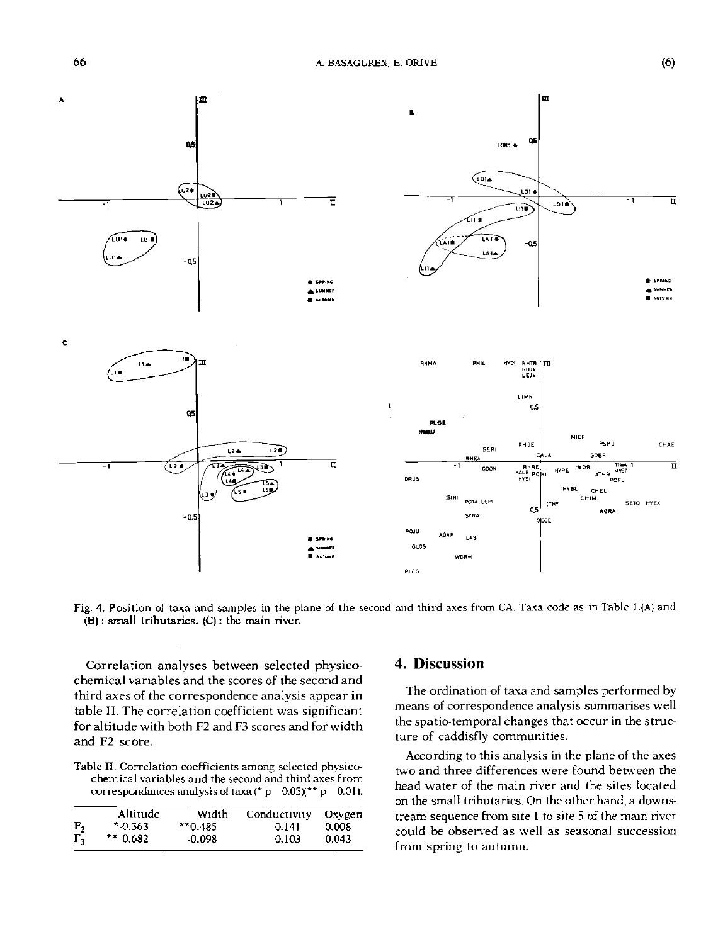

Fig. 4. Position of taxa and samples in the plane of the second and third axes from CA. Taxa code as in Table l.(A) and (B) : small tributaries. (C) : the main river.

Correlation analyses between selected physicochemical variables and the scores of the second and third axes of the correspondence analysis appear in table II. The correlation coefficient was significant for altitude with both F2 and F3 scores and for width and F2 score.

Table II. Correlation coefficients among selected physicochemical variables and the second and third axes from correspondances analysis of taxa (\* p  $0.05$ )(\*\* p 0.01).

|         | Altitude  | Width     | Conductivity | Oxygen   |
|---------|-----------|-----------|--------------|----------|
| F,      | $*0.363$  | $*$ 0.485 | 0.141        | $-0.008$ |
| $F_{2}$ | $*$ 0.682 | -0.098    | 0.103        | 0.043    |

#### **4. Discussion**

The ordination of taxa and samples performed by means of correspondence analysis summarises well the spatio-temporal changes that occur in the structure of caddisfly communities.

According to this analysis in the plane of the axes two and three differences were found between the head water of the main river and the sites located on the small tributaries. On the other hand, a downstream sequence from site 1 to site 5 of the main river could be observed as well as seasonal succession from spring to autumn.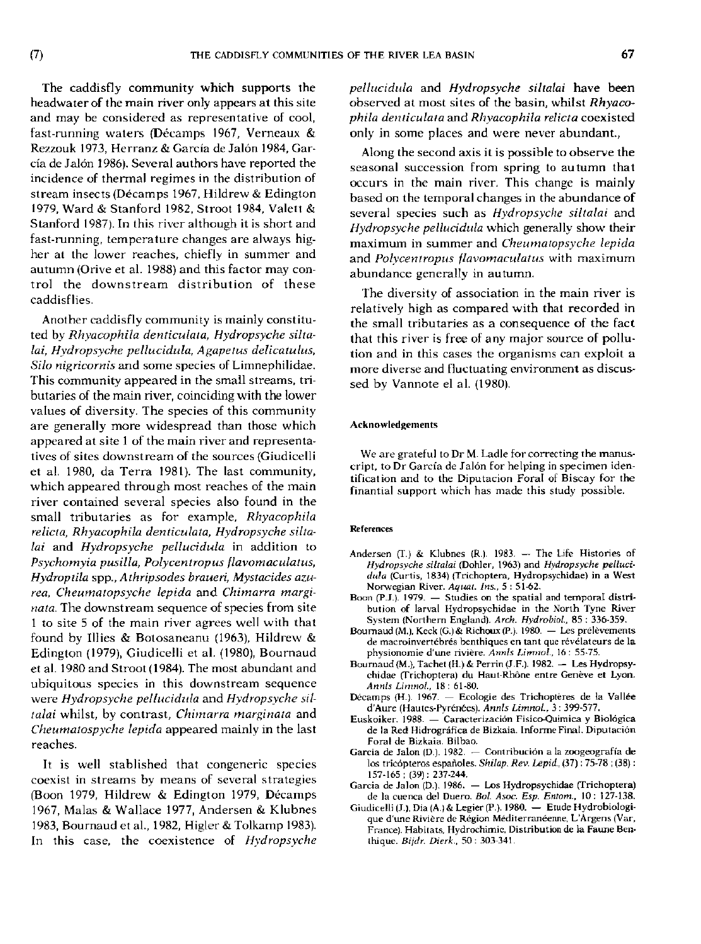The caddisfly community which supports the headwater of the main river only appears at this site and may be considered as representative of cool, fast-running waters (Décamps 1967, Verneaux & Rezzouk 1973, Herranz & Garcia de Jalon 1984, Garcia de Jalon 1986). Several authors have reported the incidence of thermal regimes in the distribution of stream insects (Décamps 1967, Hildrew & Edington 1979, Ward & Stanford 1982, Stroot 1984, Valett & Stanford 1987). In this river although it is short and fast-running, temperature changes are always higher at the lower reaches, chiefly in summer and autumn (Orive et al. 1988) and this factor may control the downstream distribution of these caddisflies.

Another caddisfly community is mainly constituted by *Rhyacophila denticulata, Hydropsyche siltalai, Hydropsyche pellucidula, Agapetus delicatulus, Silo nigricornis* and some species of Limnephilidae. This community appeared in the small streams, tributaries of the main river, coinciding with the lower values of diversity. The species of this community are generally more widespread than those which appeared at site 1 of the main river and representatives of sites downstream of the sources (Giudicelli et al. 1980, da Terra 1981). The last community, which appeared through most reaches of the main river contained several species also found in the small tributaries as for example, *Rhyacophila relicta, Rhyacophila denticulata, Hydropsyche siltalai* and *Hydropsyche pellucidula* in addition to *Psychomyia pusilla, Polycentropus flavomaculatus, Hydroptila* spp., *A thripsodes braueri, Mystacides azurea, Cheumatopsyche lepida* and *Chimarra marginata.* The downstream sequence of species from site 1 to site 5 of the main river agrees well with that found by lilies & Botosaneanu (1963), Hildrew & Edington (1979), Giudicelli et al. (1980), Bournaud et al. 1980 and Stroot (1984). The most abundant and ubiquitous species in this downstream sequence were *Hydropsyche pellucidula* and *Hydropsyche siltalai* whilst, by contrast, *Chimarra marginata* and *Cheumatospyche lepida* appeared mainly in the last reaches.

It is well stablished that congeneric species coexist in streams by means of several strategies (Boon 1979, Hildrew & Edington 1979, Décamps 1967, Malas & Wallace 1977, Andersen & Klubnes 1983, Bournaud et al., 1982, Higler & Tolkamp 1983). In this case, the coexistence of *Hydropsyche* 

*pellucidula* and *Hydropsyche siltalai* have been observed at most sites of the basin, whilst *Rhyacophila denticulata* and *Rhyacophila relicta* coexisted only in some places and were never abundant.,

Along the second axis it is possible to observe the seasonal succession from spring to autumn that occurs in the main river. This change is mainly based on the temporal changes in the abundance of several species such as *Hydropsyche siltalai* and *Hydropsyche pellucidula* which generally show their maximum in summer and *Cheumatopsyche lepida*  and *Polycentropus flavomaculatus* with maximum abundance generally in autumn.

The diversity of association in the main river is relatively high as compared with that recorded in the small tributaries as a consequence of the fact that this river is free of any major source of pollution and in this cases the organisms can exploit a more diverse and fluctuating environment as discussed by Vannote el al. (1980).

#### **Acknowledgements**

We are grateful to Dr M. Ladle for correcting the manuscript, to Dr Garcia de Jalon for helping in specimen identification and to the Diputacion Forai of Biscay for the finantial support which has made this study possible.

#### **References**

- **Andersen (T.) & Klubnes (R.). 1983. The Life Histories of**  *Hydropsyche siltalai* **(Dohler, 1963) and** *Hydropsyche pellucidula* **(Curtis, 1834) {Trichoptera, Hydropsychidae) in a West Norwegian River.** *Aquat. Ins.,* **5 : 51-62.**
- **Boon (P.J.). 1979. Studies on the spatial and temporal distribution of larval Hydropsychidae in the North Tyne River System (Northern England).** *Arch. HvdrobioL,* **85 : 336-359.**
- **Bournaud (M.), Keck (G.)& Richotix (P.). 1980. Les prélèvements de macroinvertébrés benthiques en tant que révélateurs de la physionomie d'une rivière.** *Annls Limnol.,* **16 : 55-75.**
- **Bournaud (M.), Tachet (H.) & Perrin (J.F.). 1982. Les Hydropsychidae (Trichoptera) du Haut-Rhône entre Genève et Lyon.**  *Annls Limnol.,* **18 : 61-80.**
- **Décamps (H.). 1967. Ecologie des Trichoptères de la Vallée d'Aure (Hautes-Pyrénées).** *Annls Limnol,* **3 : 399-577.**
- **Euskoiker. 1988. Caracterizaciôn Fisico-Quimica y Biolôgica de la Red Hidrografica de Bizkaia. Informe Final. Diputacion Forai de Bizkaia. Bilbao.**
- Garcia de Jalon (D.). 1982. Contribución a la zoogeografía de **los tricopteros espanoles.** *Shilap. Rev. Lepid.,* **(37) : 75-78 ; (38) : 157-165; (39): 237-244.**
- **Garcia de Jalon (D). 1986. Los Hydropsychidae (Trichoptera) de la cuenca del Duero.** *Bol. Asoc. Esp. Entom.,* **10: 127-138.**
- **Giudicelli (J.).Dia (A.)&Legier (P.). 1980. Etude Hydrobiologique d'une Rivière de Région Méditerranéenne, L'Argens (Var, France). Habitats, Hydrochimic, Distribution de la Faune Benthique.** *Bijdr. Dierk.,* **50: 303-341.**